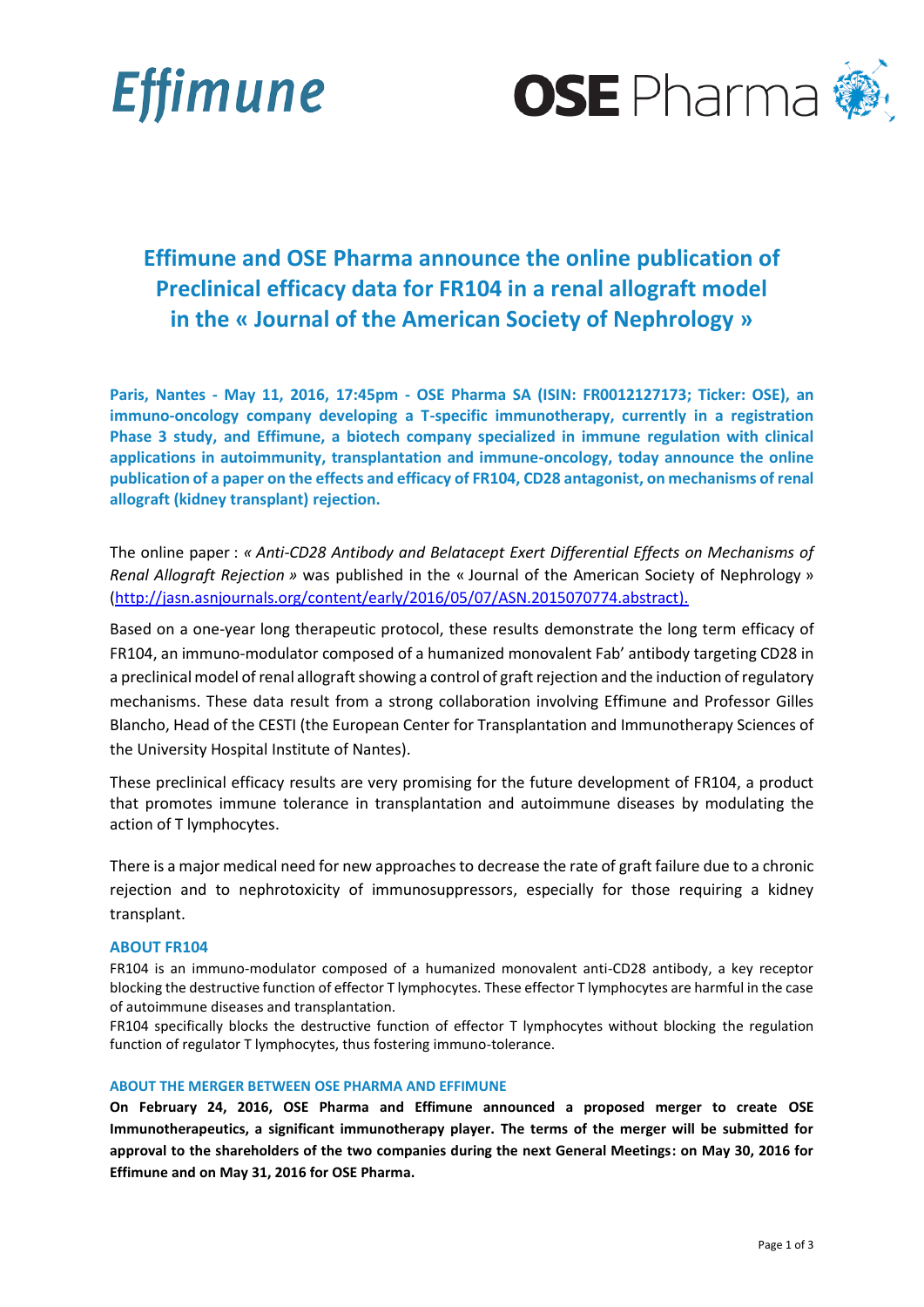



# **Effimune and OSE Pharma announce the online publication of Preclinical efficacy data for FR104 in a renal allograft model in the « Journal of the American Society of Nephrology »**

**Paris, Nantes - May 11, 2016, 17:45pm - OSE Pharma SA (ISIN: FR0012127173; Ticker: OSE), an immuno-oncology company developing a T-specific immunotherapy, currently in a registration Phase 3 study, and Effimune, a biotech company specialized in immune regulation with clinical applications in autoimmunity, transplantation and immune-oncology, today announce the online publication of a paper on the effects and efficacy of FR104, CD28 antagonist, on mechanisms of renal allograft (kidney transplant) rejection.**

The online paper : *« Anti-CD28 Antibody and Belatacept Exert Differential Effects on Mechanisms of Renal Allograft Rejection »* was published in the « Journal of the American Society of Nephrology » [\(http://jasn.asnjournals.org/content/early/2016/05/07/ASN.2015070774.abstract\)](http://jasn.asnjournals.org/content/early/2016/05/07/ASN.2015070774.abstract).

Based on a one-year long therapeutic protocol, these results demonstrate the long term efficacy of FR104, an immuno-modulator composed of a humanized monovalent Fab' antibody targeting CD28 in a preclinical model of renal allograft showing a control of graft rejection and the induction of regulatory mechanisms. These data result from a strong collaboration involving Effimune and Professor Gilles Blancho, Head of the CESTI (the European Center for Transplantation and Immunotherapy Sciences of the University Hospital Institute of Nantes).

These preclinical efficacy results are very promising for the future development of FR104, a product that promotes immune tolerance in transplantation and autoimmune diseases by modulating the action of T lymphocytes.

There is a major medical need for new approaches to decrease the rate of graft failure due to a chronic rejection and to nephrotoxicity of immunosuppressors, especially for those requiring a kidney transplant.

## **ABOUT FR104**

FR104 is an immuno-modulator composed of a humanized monovalent anti-CD28 antibody, a key receptor blocking the destructive function of effector T lymphocytes. These effector T lymphocytes are harmful in the case of autoimmune diseases and transplantation.

FR104 specifically blocks the destructive function of effector T lymphocytes without blocking the regulation function of regulator T lymphocytes, thus fostering immuno-tolerance.

### **ABOUT THE MERGER BETWEEN OSE PHARMA AND EFFIMUNE**

**On February 24, 2016, OSE Pharma and Effimune announced a proposed merger to create OSE Immunotherapeutics, a significant immunotherapy player. The terms of the merger will be submitted for approval to the shareholders of the two companies during the next General Meetings: on May 30, 2016 for Effimune and on May 31, 2016 for OSE Pharma.**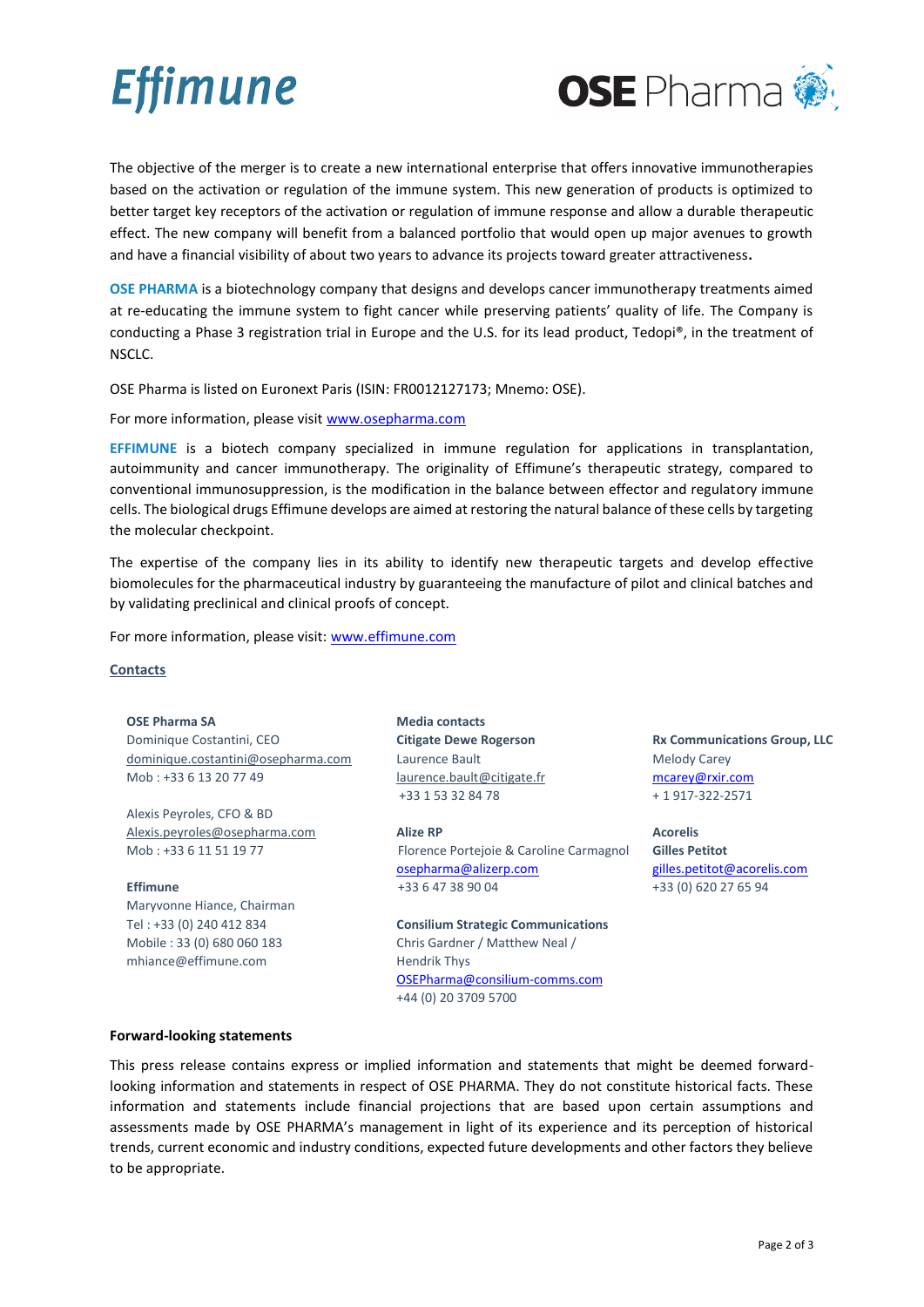# **Effimune**



The objective of the merger is to create a new international enterprise that offers innovative immunotherapies based on the activation or regulation of the immune system. This new generation of products is optimized to better target key receptors of the activation or regulation of immune response and allow a durable therapeutic effect. The new company will benefit from a balanced portfolio that would open up major avenues to growth and have a financial visibility of about two years to advance its projects toward greater attractiveness**.**

**OSE PHARMA** is a biotechnology company that designs and develops cancer immunotherapy treatments aimed at re-educating the immune system to fight cancer while preserving patients' quality of life. The Company is conducting a Phase 3 registration trial in Europe and the U.S. for its lead product, Tedopi®, in the treatment of NSCLC.

OSE Pharma is listed on Euronext Paris (ISIN: FR0012127173; Mnemo: OSE).

For more information, please visit [www.osepharma.com](http://www.osepharma.com/)

**EFFIMUNE** is a biotech company specialized in immune regulation for applications in transplantation, autoimmunity and cancer immunotherapy. The originality of Effimune's therapeutic strategy, compared to conventional immunosuppression, is the modification in the balance between effector and regulatory immune cells. The biological drugs Effimune develops are aimed at restoring the natural balance of these cells by targeting the molecular checkpoint.

The expertise of the company lies in its ability to identify new therapeutic targets and develop effective biomolecules for the pharmaceutical industry by guaranteeing the manufacture of pilot and clinical batches and by validating preclinical and clinical proofs of concept.

For more information, please visit: [www.effimune.com](http://www.effimune.com/)

## **Contacts**

### **OSE Pharma SA**

Dominique Costantini, CEO [dominique.costantini@osepharma.com](mailto:dominique.costantini@osepharma.com) Mob : +33 6 13 20 77 49

Alexis Peyroles, CFO & BD [Alexis.peyroles@osepharma.com](mailto:Alexis.peyroles@osepharma.com) Mob : +33 6 11 51 19 77

### **Effimune**

Maryvonne Hiance, Chairman Tel : +33 (0) 240 412 834 Mobile : 33 (0) 680 060 183 mhiance@effimune.com

**Media contacts Citigate Dewe Rogerson**  Laurence Bault [laurence.bault@citigate.fr](mailto:laurence.bault@citigate.fr) +33 1 53 32 84 78

**Alize RP** Florence Portejoie & Caroline Carmagnol [osepharma@alizerp.com](mailto:osepharma@alizerp.com) +33 6 47 38 90 04

**Consilium Strategic Communications** Chris Gardner / Matthew Neal / Hendrik Thys [OSEPharma@consilium-comms.com](mailto:OSEPharma@consilium-comms.com) +44 (0) 20 3709 5700

**Rx Communications Group, LLC** Melody Carey [mcarey@rxir.com](mailto:mcarey@rxir.com) + 1 917-322-2571

**Acorelis Gilles Petitot** [gilles.petitot@acorelis.com](mailto:gilles.petitot@acorelis.com) +33 (0) 620 27 65 94

**Forward-looking statements**

This press release contains express or implied information and statements that might be deemed forwardlooking information and statements in respect of OSE PHARMA. They do not constitute historical facts. These information and statements include financial projections that are based upon certain assumptions and assessments made by OSE PHARMA's management in light of its experience and its perception of historical trends, current economic and industry conditions, expected future developments and other factors they believe to be appropriate.